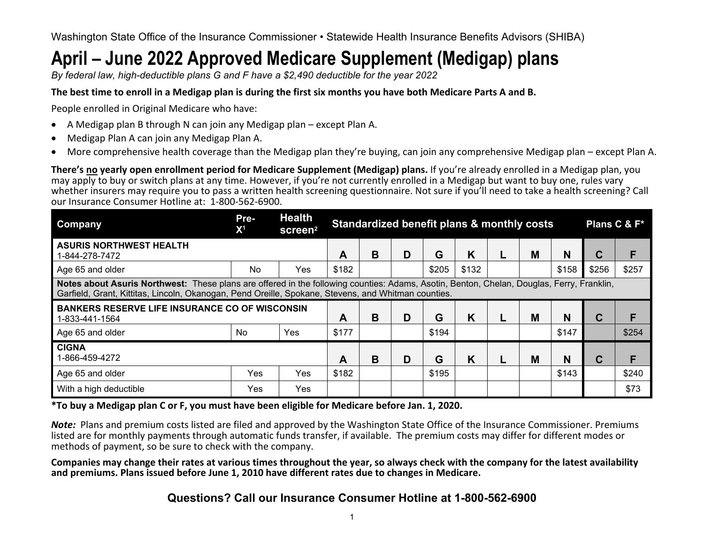Washington State Office of the Insurance Commissioner • Statewide Health Insurance Benefits Advisors (SHIBA)

# **April – June 2022 Approved Medicare Supplement (Medigap) plans**

*By federal law, high-deductible plans G and F have a \$2,490 deductible for the year 2022* 

### **The best time to enroll in a Medigap plan is during the first six months you have both Medicare Parts A and B.**

People enrolled in Original Medicare who have:

- A Medigap plan B through N can join any Medigap plan except Plan A.
- Medigap Plan A can join any Medigap Plan A.
- More comprehensive health coverage than the Medigap plan they're buying, can join any comprehensive Medigap plan except Plan A.

**There's no yearly open enrollment period for Medicare Supplement (Medigap) plans.** If you're already enrolled in a Medigap plan, you may apply to buy or switch plans at any time. However, if you're not currently enrolled in a Medigap but want to buy one, rules vary whether insurers may require you to pass a written health screening questionnaire. Not sure if you'll need to take a health screening? Call our Insurance Consumer Hotline at: 1-800-562-6900.

| Company                                                                                                                                                                                                                                          | Pre-<br>X <sup>1</sup> | <b>Health</b><br>screen <sup>2</sup> | Standardized benefit plans & monthly costs |   |   |       |       |   |   |       |             | Plans C & F* |
|--------------------------------------------------------------------------------------------------------------------------------------------------------------------------------------------------------------------------------------------------|------------------------|--------------------------------------|--------------------------------------------|---|---|-------|-------|---|---|-------|-------------|--------------|
| <b>ASURIS NORTHWEST HEALTH</b><br>1-844-278-7472                                                                                                                                                                                                 |                        |                                      | A                                          | B | D | G     | K     | L | M | N     | $\mathbf C$ | F            |
| Age 65 and older                                                                                                                                                                                                                                 | N <sub>0</sub>         | Yes                                  | \$182                                      |   |   | \$205 | \$132 |   |   | \$158 | \$256       | \$257        |
| Notes about Asuris Northwest: These plans are offered in the following counties: Adams, Asotin, Benton, Chelan, Douglas, Ferry, Franklin,<br>Garfield, Grant, Kittitas, Lincoln, Okanogan, Pend Oreille, Spokane, Stevens, and Whitman counties. |                        |                                      |                                            |   |   |       |       |   |   |       |             |              |
| <b>BANKERS RESERVE LIFE INSURANCE CO OF WISCONSIN</b><br>1-833-441-1564                                                                                                                                                                          |                        |                                      | A                                          | B | D | G     | K     | L | M | N     | $\mathbf C$ | F            |
| Age 65 and older                                                                                                                                                                                                                                 | <b>No</b>              | Yes                                  | \$177                                      |   |   | \$194 |       |   |   | \$147 |             | \$254        |
| <b>CIGNA</b><br>1-866-459-4272                                                                                                                                                                                                                   |                        |                                      | Α                                          | B | D | G     | K     |   | M | N     | C           | F            |
| Age 65 and older                                                                                                                                                                                                                                 | Yes                    | Yes                                  | \$182                                      |   |   | \$195 |       |   |   | \$143 |             | \$240        |
| With a high deductible                                                                                                                                                                                                                           | Yes                    | Yes                                  |                                            |   |   |       |       |   |   |       |             | \$73         |

**\*To buy a Medigap plan C or F, you must have been eligible for Medicare before Jan. 1, 2020.**

*Note:* Plans and premium costs listed are filed and approved by the Washington State Office of the Insurance Commissioner. Premiums listed are for monthly payments through automatic funds transfer, if available. The premium costs may differ for different modes or methods of payment, so be sure to check with the company.

**Companies may change their rates at various times throughout the year, so always check with the company for the latest availability and premiums. Plans issued before June 1, 2010 have different rates due to changes in Medicare.** 

**Questions? Call our Insurance Consumer Hotline at 1-800-562-6900**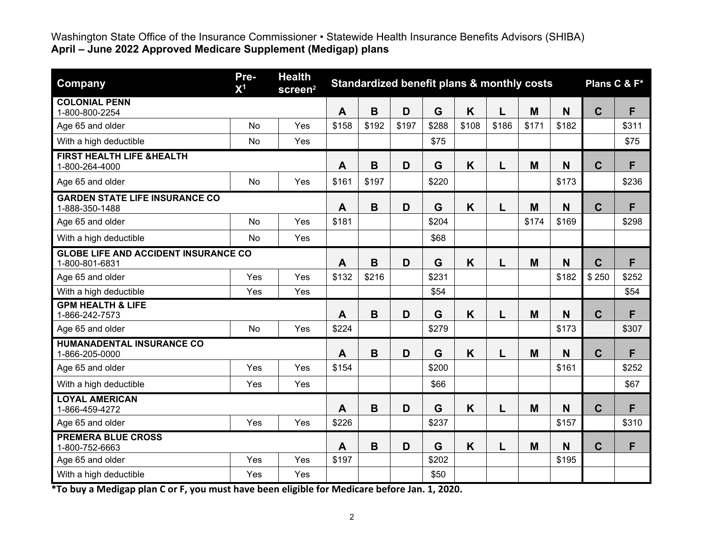| Company                                                       | Pre-<br>$\mathsf{X}^1$ | <b>Health</b><br>screen <sup>2</sup> | Standardized benefit plans & monthly costs |             | Plans C & F* |       |       |       |       |          |             |       |
|---------------------------------------------------------------|------------------------|--------------------------------------|--------------------------------------------|-------------|--------------|-------|-------|-------|-------|----------|-------------|-------|
| <b>COLONIAL PENN</b><br>1-800-800-2254                        |                        |                                      | $\mathbf{A}$                               | B           | D            | G     | K     | L     | M     | N        | $\mathbf C$ | F     |
| Age 65 and older                                              | <b>No</b>              | Yes                                  | \$158                                      | \$192       | \$197        | \$288 | \$108 | \$186 | \$171 | \$182    |             | \$311 |
| With a high deductible                                        | No                     | Yes                                  |                                            |             |              | \$75  |       |       |       |          |             | \$75  |
| <b>FIRST HEALTH LIFE &amp;HEALTH</b><br>1-800-264-4000        |                        |                                      | A                                          | $\mathbf B$ | D            | G     | K     | L     | M     | N        | $\mathbf C$ | F     |
| Age 65 and older                                              | <b>No</b>              | Yes                                  | \$161                                      | \$197       |              | \$220 |       |       |       | \$173    |             | \$236 |
| <b>GARDEN STATE LIFE INSURANCE CO</b><br>1-888-350-1488       |                        |                                      | A                                          | $\mathbf B$ | D            | G     | K     | L     | M     | N        | $\mathbf C$ | F     |
| Age 65 and older                                              | No                     | Yes                                  | \$181                                      |             |              | \$204 |       |       | \$174 | \$169    |             | \$298 |
| With a high deductible                                        | <b>No</b>              | Yes                                  |                                            |             |              | \$68  |       |       |       |          |             |       |
| <b>GLOBE LIFE AND ACCIDENT INSURANCE CO</b><br>1-800-801-6831 |                        |                                      | A                                          | $\mathbf B$ | D            | G     | K     | L     | M     | N        | $\mathbf C$ | F     |
| Age 65 and older                                              | Yes                    | Yes                                  | \$132                                      | \$216       |              | \$231 |       |       |       | \$182    | \$250       | \$252 |
| With a high deductible                                        | Yes                    | Yes                                  |                                            |             |              | \$54  |       |       |       |          |             | \$54  |
| <b>GPM HEALTH &amp; LIFE</b><br>1-866-242-7573                |                        |                                      | A                                          | B           | D            | G     | K     | L     | M     | <b>N</b> | $\mathbf C$ | F     |
| Age 65 and older                                              | No                     | Yes                                  | \$224                                      |             |              | \$279 |       |       |       | \$173    |             | \$307 |
| <b>HUMANADENTAL INSURANCE CO</b><br>1-866-205-0000            |                        |                                      | A                                          | $\mathbf B$ | D            | G     | K     | L     | M     | N        | $\mathbf C$ | F     |
| Age 65 and older                                              | Yes                    | Yes                                  | \$154                                      |             |              | \$200 |       |       |       | \$161    |             | \$252 |
| With a high deductible                                        | Yes                    | Yes                                  |                                            |             |              | \$66  |       |       |       |          |             | \$67  |
| <b>LOYAL AMERICAN</b><br>1-866-459-4272                       |                        |                                      | A                                          | $\mathbf B$ | D            | G     | K     | L     | M     | N        | $\mathbf C$ | F     |
| Age 65 and older                                              | Yes                    | Yes                                  | \$226                                      |             |              | \$237 |       |       |       | \$157    |             | \$310 |
| <b>PREMERA BLUE CROSS</b><br>1-800-752-6663                   |                        |                                      | A                                          | $\mathbf B$ | D            | G     | K     | L     | M     | N        | $\mathbf C$ | F     |
| Age 65 and older                                              | Yes                    | Yes                                  | \$197                                      |             |              | \$202 |       |       |       | \$195    |             |       |
| With a high deductible                                        | Yes                    | Yes                                  |                                            |             |              | \$50  |       |       |       |          |             |       |

**\*To buy a Medigap plan C or F, you must have been eligible for Medicare before Jan. 1, 2020.**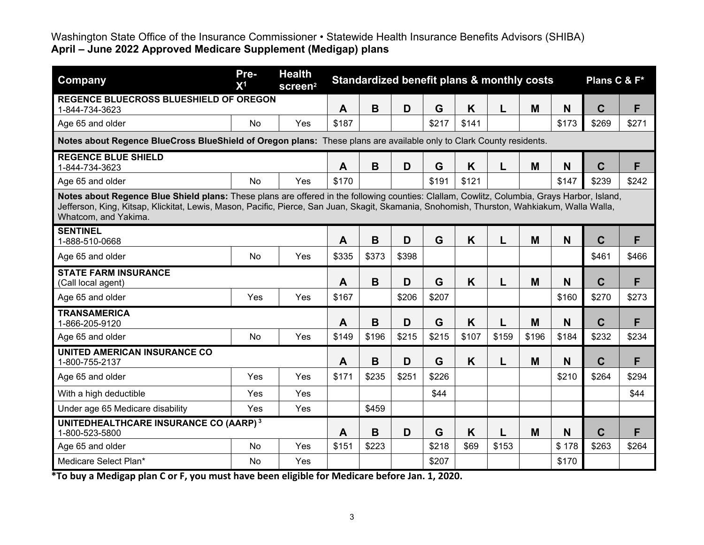| Company                                                                                                                                                                                                                                                                                                            | Pre-<br>X <sup>1</sup> | <b>Health</b><br>screen <sup>2</sup> | Standardized benefit plans & monthly costs |       |       |       |       |       |       | Plans C & F* |             |       |
|--------------------------------------------------------------------------------------------------------------------------------------------------------------------------------------------------------------------------------------------------------------------------------------------------------------------|------------------------|--------------------------------------|--------------------------------------------|-------|-------|-------|-------|-------|-------|--------------|-------------|-------|
| <b>REGENCE BLUECROSS BLUESHIELD OF OREGON</b><br>1-844-734-3623                                                                                                                                                                                                                                                    |                        |                                      | A                                          | B     | D     | G     | K     | L     | M     | N            | $\mathbf C$ | F     |
| Age 65 and older                                                                                                                                                                                                                                                                                                   | <b>No</b>              | Yes                                  | \$187                                      |       |       | \$217 | \$141 |       |       | \$173        | \$269       | \$271 |
| Notes about Regence BlueCross BlueShield of Oregon plans: These plans are available only to Clark County residents.                                                                                                                                                                                                |                        |                                      |                                            |       |       |       |       |       |       |              |             |       |
| <b>REGENCE BLUE SHIELD</b><br>1-844-734-3623                                                                                                                                                                                                                                                                       |                        |                                      | $\mathbf{A}$                               | B     | D     | G     | K     | L     | M     | N            | $\mathbf C$ | F     |
| Age 65 and older                                                                                                                                                                                                                                                                                                   | <b>No</b>              | <b>Yes</b>                           | \$170                                      |       |       | \$191 | \$121 |       |       | \$147        | \$239       | \$242 |
| Notes about Regence Blue Shield plans: These plans are offered in the following counties: Clallam, Cowlitz, Columbia, Grays Harbor, Island,<br>Jefferson, King, Kitsap, Klickitat, Lewis, Mason, Pacific, Pierce, San Juan, Skagit, Skamania, Snohomish, Thurston, Wahkiakum, Walla Walla,<br>Whatcom, and Yakima. |                        |                                      |                                            |       |       |       |       |       |       |              |             |       |
| <b>SENTINEL</b><br>1-888-510-0668                                                                                                                                                                                                                                                                                  |                        |                                      | A                                          | B     | D     | G     | K     | L     | M     | N            | $\mathbf C$ | F     |
| Age 65 and older                                                                                                                                                                                                                                                                                                   | No                     | Yes                                  | \$335                                      | \$373 | \$398 |       |       |       |       |              | \$461       | \$466 |
| <b>STATE FARM INSURANCE</b><br>(Call local agent)                                                                                                                                                                                                                                                                  |                        |                                      | $\mathbf{A}$                               | B     | D     | G     | K     | L     | M     | N            | $\mathbf C$ | F     |
| Age 65 and older                                                                                                                                                                                                                                                                                                   | Yes                    | Yes                                  | \$167                                      |       | \$206 | \$207 |       |       |       | \$160        | \$270       | \$273 |
| <b>TRANSAMERICA</b><br>1-866-205-9120                                                                                                                                                                                                                                                                              |                        |                                      | $\mathbf{A}$                               | B     | D     | G     | K     |       | M     | N            | $\mathbf C$ | F     |
| Age 65 and older                                                                                                                                                                                                                                                                                                   | <b>No</b>              | Yes                                  | \$149                                      | \$196 | \$215 | \$215 | \$107 | \$159 | \$196 | \$184        | \$232       | \$234 |
| <b>UNITED AMERICAN INSURANCE CO</b><br>1-800-755-2137                                                                                                                                                                                                                                                              |                        |                                      | A                                          | B     | D     | G     | K     | L     | M     | N            | $\mathbf C$ | F     |
| Age 65 and older                                                                                                                                                                                                                                                                                                   | Yes                    | Yes                                  | \$171                                      | \$235 | \$251 | \$226 |       |       |       | \$210        | \$264       | \$294 |
| With a high deductible                                                                                                                                                                                                                                                                                             | Yes                    | Yes                                  |                                            |       |       | \$44  |       |       |       |              |             | \$44  |
| Under age 65 Medicare disability                                                                                                                                                                                                                                                                                   | <b>Yes</b>             | Yes                                  |                                            | \$459 |       |       |       |       |       |              |             |       |
| UNITEDHEALTHCARE INSURANCE CO (AARP) <sup>3</sup><br>1-800-523-5800                                                                                                                                                                                                                                                |                        |                                      | A                                          | B     | D     | G     | K     | L     | M     | N            | $\mathbf C$ | F     |
| Age 65 and older                                                                                                                                                                                                                                                                                                   | <b>No</b>              | Yes                                  | \$151                                      | \$223 |       | \$218 | \$69  | \$153 |       | \$178        | \$263       | \$264 |
| Medicare Select Plan*                                                                                                                                                                                                                                                                                              | <b>No</b>              | Yes                                  |                                            |       |       | \$207 |       |       |       | \$170        |             |       |

**\*To buy a Medigap plan C or F, you must have been eligible for Medicare before Jan. 1, 2020.**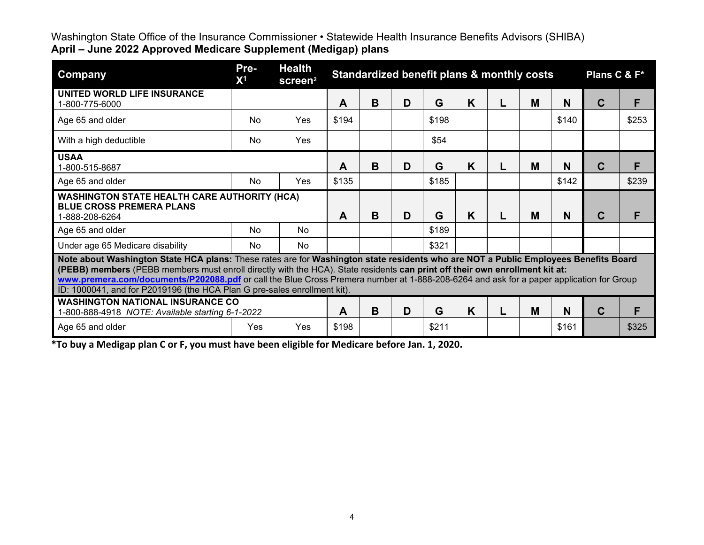| <b>Company</b>                                                                                                                                                                                                                                                                                                                                                                                                                                                                            | Pre-<br>X <sup>1</sup> | <b>Health</b><br>screen <sup>2</sup> | Standardized benefit plans & monthly costs<br>Plans C & F* |   |   |       |   |  |   |       |   |       |
|-------------------------------------------------------------------------------------------------------------------------------------------------------------------------------------------------------------------------------------------------------------------------------------------------------------------------------------------------------------------------------------------------------------------------------------------------------------------------------------------|------------------------|--------------------------------------|------------------------------------------------------------|---|---|-------|---|--|---|-------|---|-------|
| UNITED WORLD LIFE INSURANCE<br>1-800-775-6000                                                                                                                                                                                                                                                                                                                                                                                                                                             |                        |                                      | A                                                          | B | D | G     | K |  | M | N     | C | F     |
| Age 65 and older                                                                                                                                                                                                                                                                                                                                                                                                                                                                          | N <sub>0</sub>         | Yes                                  | \$194                                                      |   |   | \$198 |   |  |   | \$140 |   | \$253 |
| With a high deductible                                                                                                                                                                                                                                                                                                                                                                                                                                                                    | No                     | Yes                                  |                                                            |   |   | \$54  |   |  |   |       |   |       |
| <b>USAA</b><br>1-800-515-8687                                                                                                                                                                                                                                                                                                                                                                                                                                                             |                        |                                      | Α                                                          | B | D | G     | K |  | M | N     | C | F     |
| Age 65 and older                                                                                                                                                                                                                                                                                                                                                                                                                                                                          | <b>No</b>              | Yes                                  | \$135                                                      |   |   | \$185 |   |  |   | \$142 |   | \$239 |
| <b>WASHINGTON STATE HEALTH CARE AUTHORITY (HCA)</b><br><b>BLUE CROSS PREMERA PLANS</b><br>1-888-208-6264                                                                                                                                                                                                                                                                                                                                                                                  |                        |                                      | A                                                          | B | D | G     | K |  | M | N     | C | F     |
| Age 65 and older                                                                                                                                                                                                                                                                                                                                                                                                                                                                          | <b>No</b>              | No                                   |                                                            |   |   | \$189 |   |  |   |       |   |       |
| Under age 65 Medicare disability                                                                                                                                                                                                                                                                                                                                                                                                                                                          | <b>No</b>              | No                                   |                                                            |   |   | \$321 |   |  |   |       |   |       |
| Note about Washington State HCA plans: These rates are for Washington state residents who are NOT a Public Employees Benefits Board<br>(PEBB) members (PEBB members must enroll directly with the HCA). State residents can print off their own enrollment kit at:<br>www.premera.com/documents/P202088.pdf or call the Blue Cross Premera number at 1-888-208-6264 and ask for a paper application for Group<br>ID: 1000041, and for P2019196 (the HCA Plan G pre-sales enrollment kit). |                        |                                      |                                                            |   |   |       |   |  |   |       |   |       |
| <b>WASHINGTON NATIONAL INSURANCE CO</b><br>1-800-888-4918 NOTE: Available starting 6-1-2022                                                                                                                                                                                                                                                                                                                                                                                               |                        |                                      | A                                                          | B | D | G     | K |  | M | N     | C | F     |
| Age 65 and older                                                                                                                                                                                                                                                                                                                                                                                                                                                                          | Yes                    | Yes                                  | \$198                                                      |   |   | \$211 |   |  |   | \$161 |   | \$325 |

**\*To buy a Medigap plan C or F, you must have been eligible for Medicare before Jan. 1, 2020.**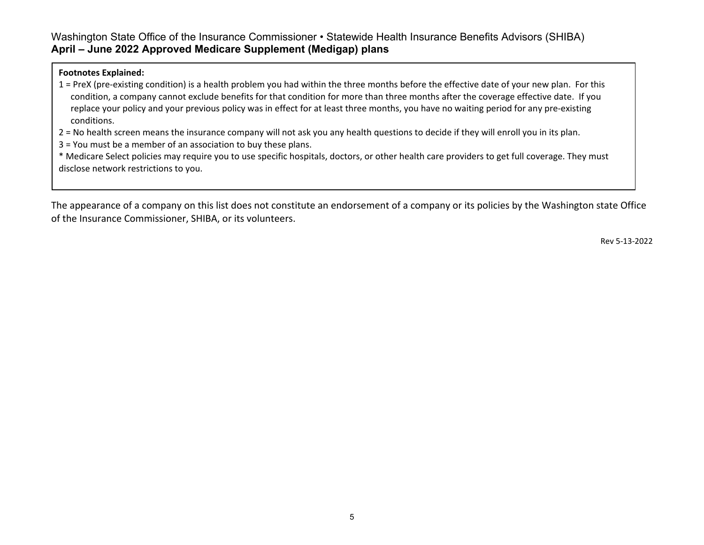#### **Footnotes Explained:**

1 = PreX (pre-existing condition) is a health problem you had within the three months before the effective date of your new plan. For this condition, a company cannot exclude benefits for that condition for more than three months after the coverage effective date. If you replace your policy and your previous policy was in effect for at least three months, you have no waiting period for any pre-existing conditions.

2 = No health screen means the insurance company will not ask you any health questions to decide if they will enroll you in its plan.

3 = You must be a member of an association to buy these plans.

\* Medicare Select policies may require you to use specific hospitals, doctors, or other health care providers to get full coverage. They must disclose network restrictions to you.

The appearance of a company on this list does not constitute an endorsement of a company or its policies by the Washington state Office of the Insurance Commissioner, SHIBA, or its volunteers.

Rev 5-13-2022